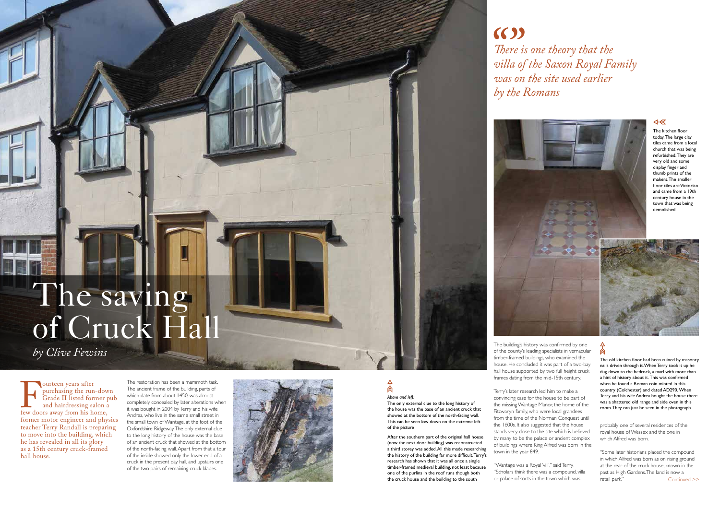

ourteen years after<br>purchasing the run<br>Grade II listed form<br>and hairdressing sa<br>few doors away from his ho<br>former motor engineer and purchasing the run-down Grade II listed former pub and hairdressing salon a few doors away from his home, former motor engineer and physics teacher Terry Randall is preparing to move into the building, which he has revealed in all its glory as a 15th century cruck-framed hall house.

 $A$ *Above and left:*

The restoration has been a mammoth task. The ancient frame of the building, parts of which date from about 1450, was almost completely concealed by later alterations when it was bought in 2004 by Terry and his wife Andrea, who live in the same small street in the small town of Wantage, at the foot of the Oxfordshire Ridgeway. The only external clue to the long history of the house was the base of an ancient cruck that showed at the bottom of the north-facing wall. Apart from that a tour of the inside showed only the lower end of a cruck in the present day hall, and upstairs one of the two pairs of remaining cruck blades.



# The saving of Cruck Hall

# $(5)$ *There is one theory that the villa of the Saxon Royal Family was on the site used earlier by the Romans*

The only external clue to the long history of the house was the base of an ancient cruck that showed at the bottom of the north-facing wall. This can be seen low down on the extreme left of the picture

probably one of several residences of the royal house of Wessex and the one in which Alfred was born.

After the southern part of the original hall house (now the next door building) was reconstructed a third storey was added. All this made researching the history of the building far more difficult. Terry's research has shown that it was all once a single timber-framed medieval building, not least because one of the purlins in the roof runs though both the cruck house and the building to the south

*by Clive Fewins*

The building's history was confirmed by one of the county's leading specialists in vernacular timber-framed buildings, who examined the house. He concluded it was part of a two-bay hall house supported by two full height cruck frames dating from the mid-15th century.

> Continued >> "Some later historians placed the compound in which Alfred was born as on rising ground at the rear of the cruck house, known in the past as High Gardens. The land is now a retail park."

Terry's later research led him to make a convincing case for the house to be part of the missing Wantage Manor, the home of the Fitzwaryn family, who were local grandees from the time of the Norman Conquest until the 1600s. It also suggested that the house stands very close to the site which is believed by many to be the palace or ancient complex of buildings where King Alfred was born in the town in the year 849.

"Wantage was a Royal 'vill'," said Terry. "Scholars think there was a compound, villa or palace of sorts in the town which was



# 肏

The old kitchen floor had been ruined by masonry nails driven through it. When Terry took it up he dug down to the bedrock, a marl with more than a hint of history about it. This was confirmed when he found a Roman coin minted in this country (Colchester) and dated AD290. When Terry and his wife Andrea bought the house there was a shattered old range and side oven in this room. They can just be seen in the photograph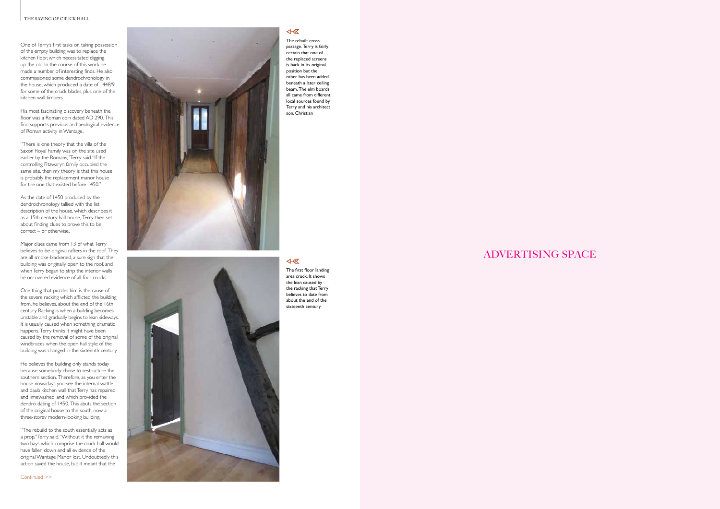## ADVERTISING SPACE



### 4-1

The rebuilt cross passage. Terry is fairly certain that one of the replaced screens is back in its original position but the other has been added beneath a later ceiling beam. The elm boards all came from different local sources found by Terry and his architect son, Christian

One of Terry's first tasks on taking possession of the empty building was to replace the kitchen floor, which necessitated digging up the old. In the course of this work he made a number of interesting finds. He also commissioned some dendrochronology in the house, which produced a date of 1448/9 for some of the cruck blades, plus one of the kitchen wall timbers.

His most fascinating discovery beneath the floor was a Roman coin dated AD 290. This find supports previous archaeological evidence of Roman activity in Wantage.

"There is one theory that the villa of the Saxon Royal Family was on the site used earlier by the Romans," Terry said. "If the controlling Fitzwaryn family occupied the same site, then my theory is that this house is probably the replacement manor house for the one that existed before 1450."

As the date of 1450 produced by the dendrochronology tallied with the list description of the house, which describes it as a 15th century hall house, Terry then set about finding clues to prove this to be correct – or otherwise.

Major clues came from 13 of what Terry believes to be original rafters in the roof. They are all smoke-blackened, a sure sign that the building was originally open to the roof, and when Terry began to strip the interior walls he uncovered evidence of all four crucks.

One thing that puzzles him is the cause of the severe racking which afflicted the building from, he believes, about the end of the 16th century. Racking is when a building becomes unstable and gradually begins to lean sideways. It is usually caused when something dramatic happens. Terry thinks it might have been caused by the removal of some of the original windbraces when the open hall style of the building was changed in the sixteenth century.

He believes the building only stands today because somebody chose to restructure the southern section. Therefore, as you enter the house nowadays you see the internal wattle and daub kitchen wall that Terry has repaired and limewashed, and which provided the dendro dating of 1450. This abuts the section of the original house to the south, now a three-storey modern-looking building.

"The rebuild to the south essentially acts as a prop," Terry said. "Without it the remaining two bays which comprise the cruck hall would have fallen down and all evidence of the original Wantage Manor lost. Undoubtedly this action saved the house, but it meant that the





The first floor landing area cruck. It shows the lean caused by the racking that Terry believes to date from about the end of the sixteenth century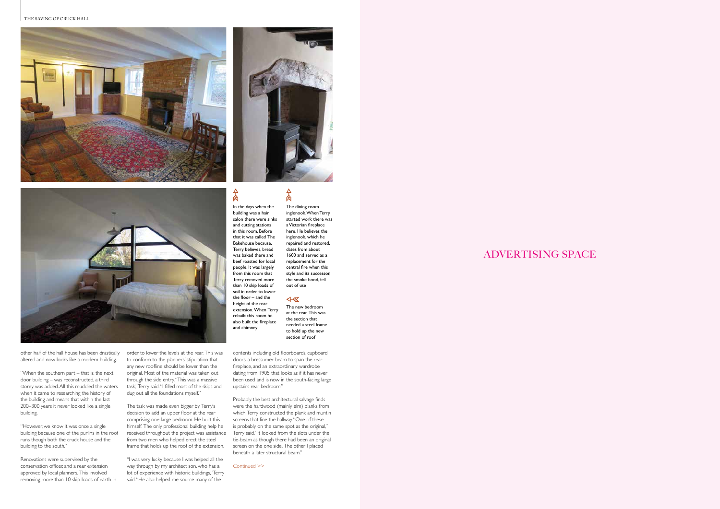$\frac{1}{2}$ In the days when the

#### THE SAVING OF CRUCK HALL **A HYMN TO THE ARTS & CRAFTS MOVEMENT**





## ADVERTISING SPACE

building was a hair salon there were sinks

 $\frac{1}{2}$ 

and cutting stations in this room. Before that it was called The Bakehouse because, Terry believes, bread was baked there and beef roasted for local people. It was largely from this room that Terry removed more than 10 skip loads of soil in order to lower the floor – and the height of the rear extension. When Terry rebuilt this room he also built the fireplace and chimney

The dining room inglenook. When Terry started work there was a Victorian fireplace here. He believes the inglenook, which he repaired and restored, dates from about 1600 and served as a replacement for the central fire when this style and its successor, the smoke hood, fell out of use

Continued >>



other half of the hall house has been drastically altered and now looks like a modern building.

> "I was very lucky because I was helped all the way through by my architect son, who has a lot of experience with historic buildings," Terry said. "He also helped me source many of the

"When the southern part – that is, the next door building – was reconstructed, a third storey was added. All this muddied the waters when it came to researching the history of the building and means that within the last 200–300 years it never looked like a single building.

"However, we know it was once a single building because one of the purlins in the roof runs though both the cruck house and the building to the south."

Renovations were supervised by the conservation officer, and a rear extension approved by local planners. This involved removing more than 10 skip loads of earth in √ The new bedroom at the rear. This was the section that

order to lower the levels at the rear. This was to conform to the planners' stipulation that any new roofline should be lower than the original. Most of the material was taken out through the side entry. "This was a massive task," Terry said. "I filled most of the skips and dug out all the foundations myself."

The task was made even bigger by Terry's decision to add an upper floor at the rear comprising one large bedroom. He built this himself. The only professional building help he received throughout the project was assistance from two men who helped erect the steel frame that holds up the roof of the extension.

contents including old floorboards, cupboard doors, a bressumer beam to span the rear fireplace, and an extraordinary wardrobe dating from 1905 that looks as if it has never been used and is now in the south-facing large upstairs rear bedroom."

Probably the best architectural salvage finds were the hardwood (mainly elm) planks from which Terry constructed the plank and muntin screens that line the hallway. "One of these is probably on the same spot as the original," Terry said. "It looked from the slots under the tie-beam as though there had been an original screen on the one side. The other I placed beneath a later structural beam."

needed a steel frame to hold up the new section of roof